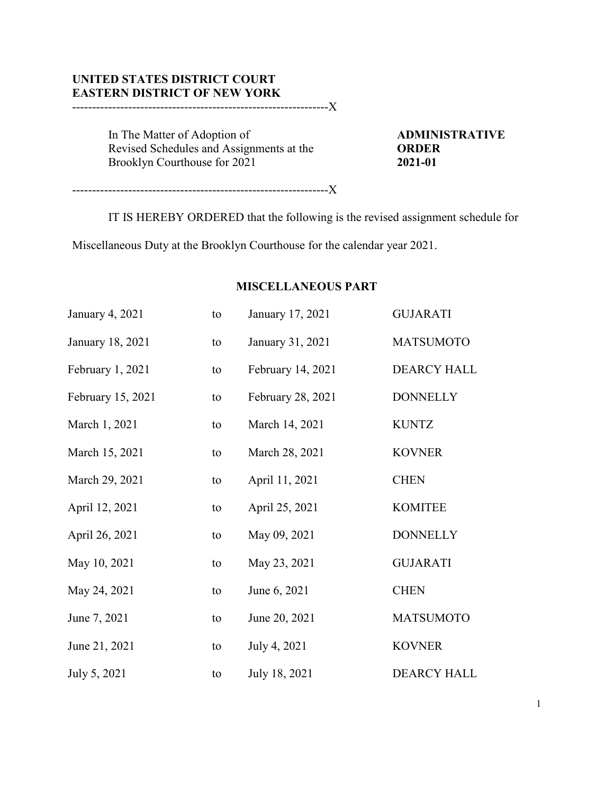## **UNITED STATES DISTRICT COURT EASTERN DISTRICT OF NEW YORK**

----------------------------------------------------------------X

In The Matter of Adoption of **ADMINISTRATIVE** Revised Schedules and Assignments at the **ORDER** Brooklyn Courthouse for 2021 **2021-01** 

----------------------------------------------------------------X

IT IS HEREBY ORDERED that the following is the revised assignment schedule for

Miscellaneous Duty at the Brooklyn Courthouse for the calendar year 2021.

## **MISCELLANEOUS PART**

| January 4, 2021   | to | January 17, 2021  | <b>GUJARATI</b>    |
|-------------------|----|-------------------|--------------------|
| January 18, 2021  | to | January 31, 2021  | <b>MATSUMOTO</b>   |
| February 1, 2021  | to | February 14, 2021 | <b>DEARCY HALL</b> |
| February 15, 2021 | to | February 28, 2021 | <b>DONNELLY</b>    |
| March 1, 2021     | to | March 14, 2021    | <b>KUNTZ</b>       |
| March 15, 2021    | to | March 28, 2021    | <b>KOVNER</b>      |
| March 29, 2021    | to | April 11, 2021    | <b>CHEN</b>        |
| April 12, 2021    | to | April 25, 2021    | <b>KOMITEE</b>     |
| April 26, 2021    | to | May 09, 2021      | <b>DONNELLY</b>    |
| May 10, 2021      | to | May 23, 2021      | <b>GUJARATI</b>    |
| May 24, 2021      | to | June 6, 2021      | <b>CHEN</b>        |
| June 7, 2021      | to | June 20, 2021     | <b>MATSUMOTO</b>   |
| June 21, 2021     | to | July 4, 2021      | <b>KOVNER</b>      |
| July 5, 2021      | to | July 18, 2021     | <b>DEARCY HALL</b> |